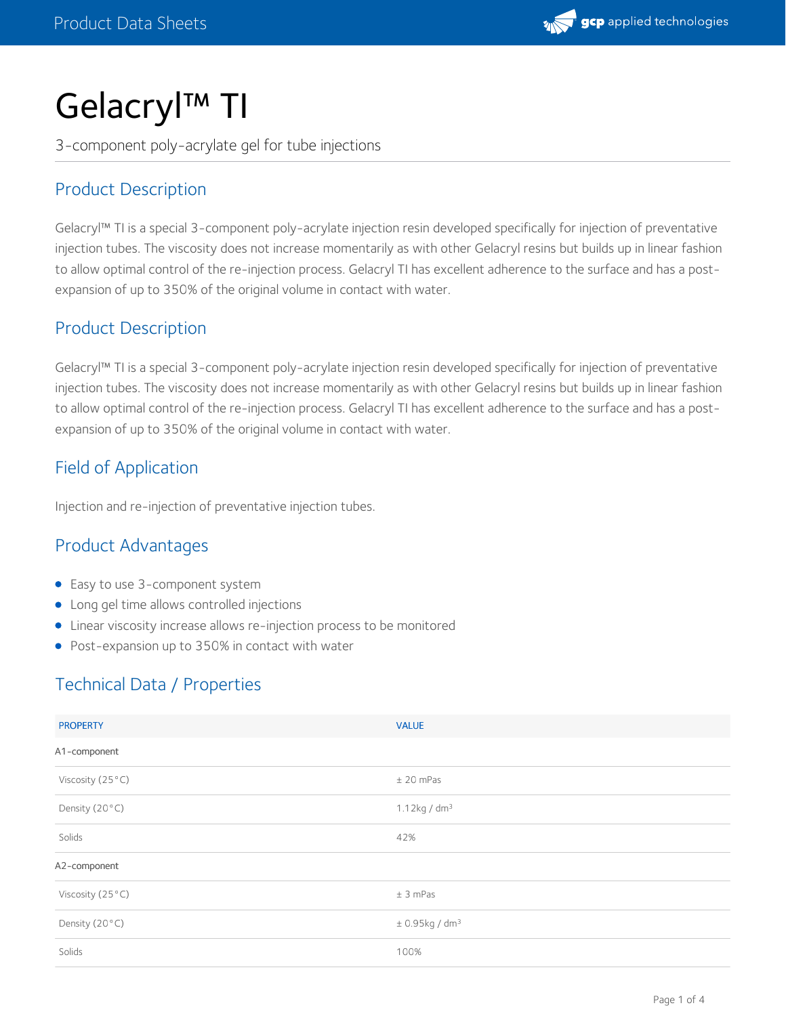

# Gelacryl™ TI

3-component poly-acrylate gel for tube injections

# Product Description

Gelacryl™ TI is a special 3-component poly-acrylate injection resin developed specifically for injection of preventative injection tubes. The viscosity does not increase momentarily as with other Gelacryl resins but builds up in linear fashion to allow optimal control of the re-injection process. Gelacryl TI has excellent adherence to the surface and has a post expansion of up to 350% of the original volume in contact with water.

## Product Description

Gelacryl™ TI is a special 3-component poly-acrylate injection resin developed specifically for injection of preventative injection tubes. The viscosity does not increase momentarily as with other Gelacryl resins but builds up in linear fashion to allow optimal control of the re-injection process. Gelacryl TI has excellent adherence to the surface and has a post expansion of up to 350% of the original volume in contact with water.

# Field of Application

Injection and re-injection of preventative injection tubes.

# Product Advantages

- Easy to use 3-component system
- Long gel time allows controlled injections
- Linear viscosity increase allows re-injection process to be monitored
- Post-expansion up to 350% in contact with water

## Technical Data / Properties

| <b>PROPERTY</b>  | <b>VALUE</b>                   |
|------------------|--------------------------------|
| A1-component     |                                |
| Viscosity (25°C) | $±$ 20 mPas                    |
| Density (20°C)   | $1.12kg$ / dm <sup>3</sup>     |
| Solids           | 42%                            |
| A2-component     |                                |
| Viscosity (25°C) | ± 3 mPas                       |
| Density (20°C)   | $\pm$ 0.95kg / dm <sup>3</sup> |
| Solids           | 100%                           |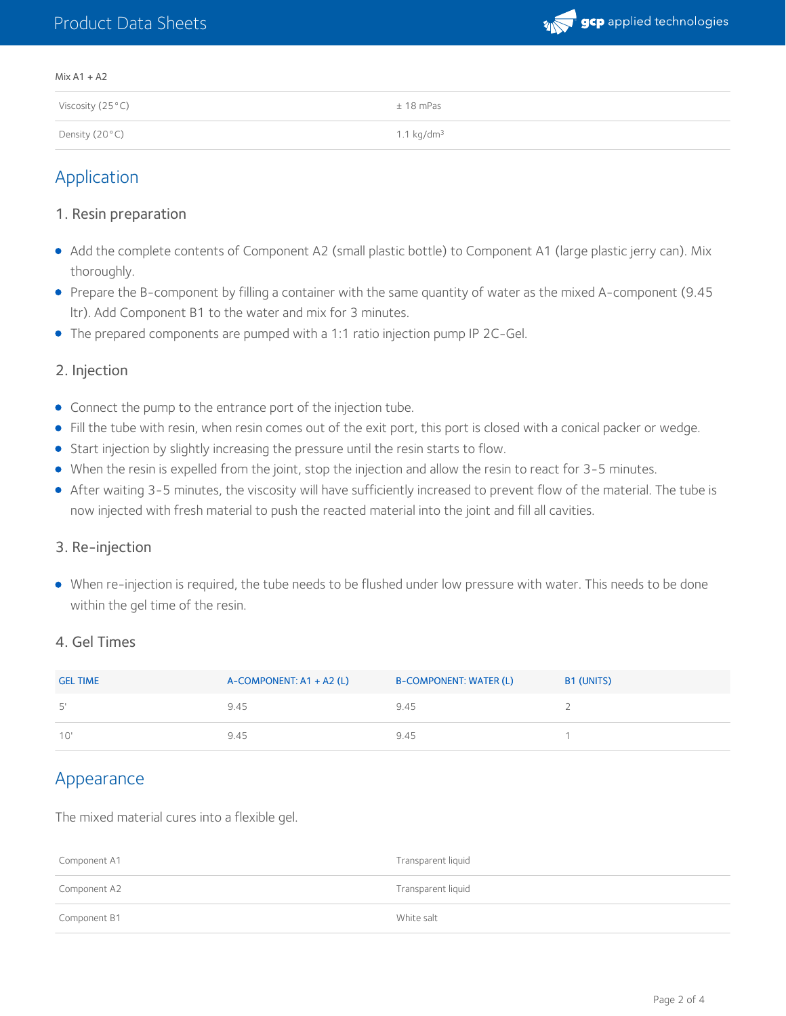## Product Data Sheets



#### Mix A1 + A2

| Viscosity (25°C) | $± 18$ mPas            |
|------------------|------------------------|
| Density (20°C)   | 1.1 kg/dm <sup>3</sup> |

## Application

#### 1. Resin preparation

- Add the complete contents of Component A2 (small plastic bottle) to Component A1 (large plastic jerry can). Mix thoroughly.
- Prepare the B-component by filling a container with the same quantity of water as the mixed A-component (9.45 ltr). Add Component B1 to the water and mix for 3 minutes.
- The prepared components are pumped with a 1:1 ratio injection pump IP 2C-Gel.

#### 2. Injection

- Connect the pump to the entrance port of the injection tube.
- Fill the tube with resin, when resin comes out of the exit port, this port is closed with a conical packer or wedge.
- Start injection by slightly increasing the pressure until the resin starts to flow.
- When the resin is expelled from the joint, stop the injection and allow the resin to react for 3-5 minutes.
- After waiting 3-5 minutes, the viscosity will have sufficiently increased to prevent flow of the material. The tube is now injected with fresh material to push the reacted material into the joint and fill all cavities.

#### 3. Re-injection

When re-injection is required, the tube needs to be flushed under low pressure with water. This needs to be done within the gel time of the resin.

#### 4. Gel Times

| <b>GEL TIME</b> | $A$ -COMPONENT: A1 + A2 (L) | <b>B-COMPONENT: WATER (L)</b> | B1 (UNITS) |
|-----------------|-----------------------------|-------------------------------|------------|
| 5'              | 9.45                        | 9.45                          |            |
| 10'             | 9.45                        | 9.45                          |            |

## Appearance

The mixed material cures into a flexible gel.

| Component A1 | Transparent liquid |
|--------------|--------------------|
| Component A2 | Transparent liquid |
| Component B1 | White salt         |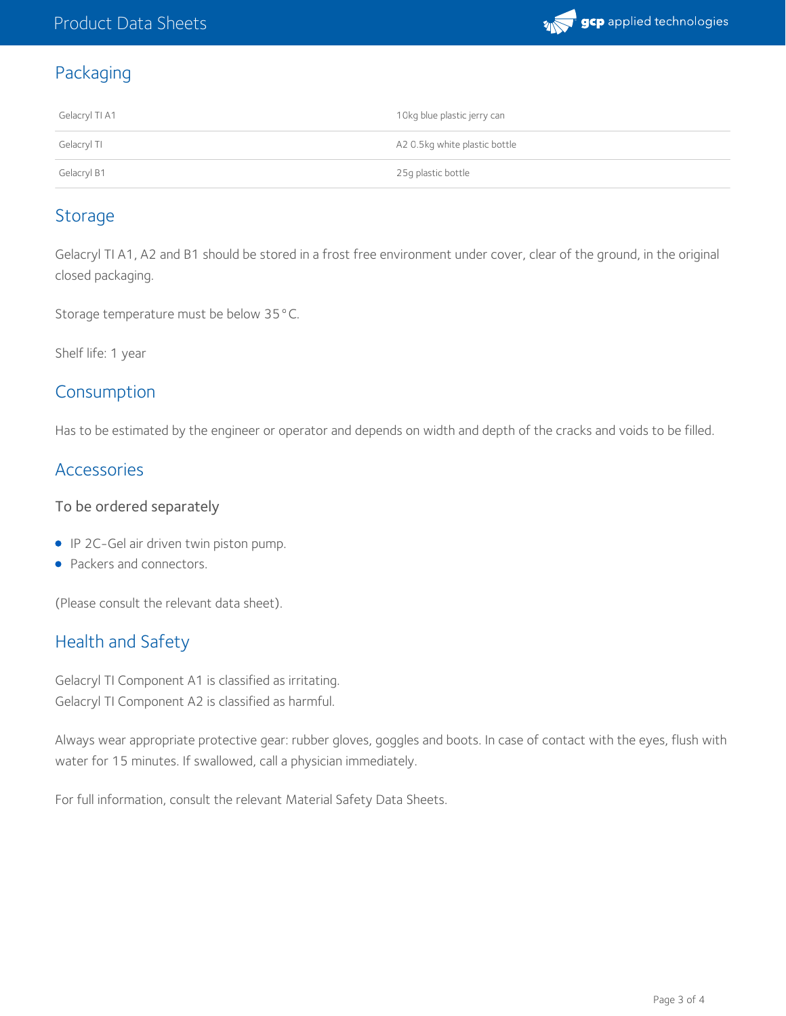

# Packaging

| Gelacryl TI A1 | 10kg blue plastic jerry can   |
|----------------|-------------------------------|
| Gelacryl TI    | A2 0.5kg white plastic bottle |
| Gelacryl B1    | 25g plastic bottle            |

## Storage

Gelacryl TI A1, A2 and B1 should be stored in a frost free environment under cover, clear of the ground, in the original closed packaging.

Storage temperature must be below 35°C.

Shelf life: 1 year

## Consumption

Has to be estimated by the engineer or operator and depends on width and depth of the cracks and voids to be filled.

## Accessories

### To be ordered separately

- IP 2C-Gel air driven twin piston pump.
- Packers and connectors.

(Please consult the relevant data sheet).

## Health and Safety

Gelacryl TI Component A1 is classified as irritating. Gelacryl TI Component A2 is classified as harmful.

Always wear appropriate protective gear: rubber gloves, goggles and boots. In case of contact with the eyes, flush with water for 15 minutes. If swallowed, call a physician immediately.

For full information, consult the relevant Material Safety Data Sheets.